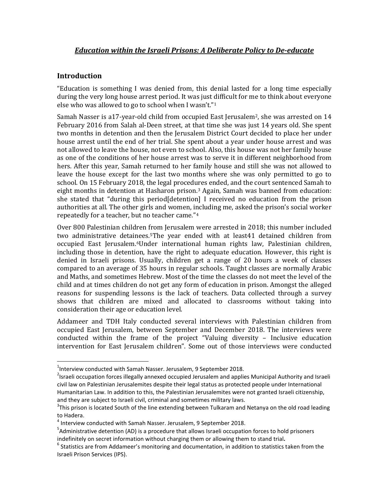# **Introduction**

l

"Education is something I was denied from, this denial lasted for a long time especially during the very long house arrest period. It was just difficult for me to think about everyone else who was allowed to go to school when I wasn't."[1](#page-0-0)

Samah Nasser is a17-year-old child from occupied East Jerusalem<sup>2</sup>, she was arrested on  $14$ February 2016 from Salah al-Deen street, at that time she was just 14 years old. She spent two months in detention and then the Jerusalem District Court decided to place her under house arrest until the end of her trial. She spent about a year under house arrest and was not allowed to leave the house, not even to school. Also, this house was not her family house as one of the conditions of her house arrest was to serve it in different neighborhood from hers. After this year, Samah returned to her family house and still she was not allowed to leave the house except for the last two months where she was only permitted to go to school. On 15 February 2018, the legal procedures ended, and the court sentenced Samah to eight months in detention at Hasharon prison.[3](#page-0-2) Again, Samah was banned from education: she stated that "during this period[detention] I received no education from the prison authorities at all. The other girls and women, i[n](#page-0-3)cluding me, asked the prison's social worker repeatedly for a teacher, but no teacher came."4

Over 800 Palestinian children from Jerusalem were arrested in 2018; this number included two administrative detai[ne](#page-0-5)es[.5](#page-0-4)The year ended with at least41 detained children from occupied East Jerusalem.6Under international human rights law, Palestinian children, including those in detention, have the right to adequate education. However, this right is denied in Israeli prisons. Usually, children get a range of 20 hours a week of classes compared to an average of 35 hours in regular schools. Taught classes are normally Arabic and Maths, and sometimes Hebrew. Most of the time the classes do not meet the level of the child and at times children do not get any form of education in prison. Amongst the alleged reasons for suspending lessons is the lack of teachers. Data collected through a survey shows that children are mixed and allocated to classrooms without taking into consideration their age or education level.

Addameer and TDH Italy conducted several interviews with Palestinian children from occupied East Jerusalem, between September and December 2018. The interviews were conducted within the frame of the project "Valuing diversity – Inclusive education intervention for East Jerusalem children". Some out of those interviews were conducted

<span id="page-0-0"></span> $^{1}$ Interview conducted with Samah Nasser. Jerusalem, 9 September 2018.

<span id="page-0-1"></span><sup>&</sup>lt;sup>2</sup>Israeli occupation forces illegally annexed occupied Jerusalem and applies Municipal Authority and Israeli civil law on Palestinian Jerusalemites despite their legal status as protected people under International Humanitarian Law. In addition to this, the Palestinian Jerusalemites were not granted Israeli citizenship, and they are subject to Israeli civil, criminal and sometimes military laws.

<span id="page-0-2"></span> $3$ This prison is located South of the line extending between Tulkaram and Netanya on the old road leading to Hadera.

<span id="page-0-3"></span><sup>4</sup> Interview conducted with Samah Nasser. Jerusalem, 9 September 2018.

<span id="page-0-4"></span><sup>&</sup>lt;sup>5</sup>Administrative detention (AD) is a procedure that allows Israeli occupation forces to hold prisoners indefinitely on secret information without charging them or allowing them to stand trial.<br><sup>6</sup> Statistics are from Addameer's monitoring and documentation, in addition to statistics taken from the

<span id="page-0-5"></span>Israeli Prison Services (IPS).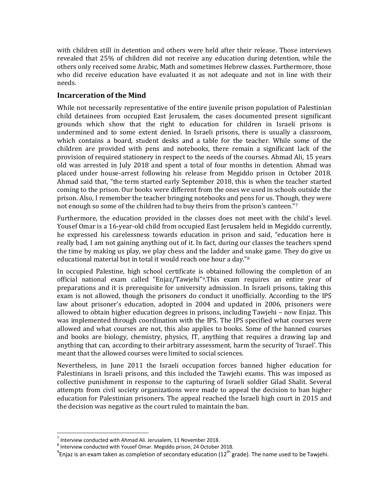with children still in detention and others were held after their release. Those interviews revealed that 25% of children did not receive any education during detention, while the others only received some Arabic, Math and sometimes Hebrew classes. Furthermore, those who did receive education have evaluated it as not adequate and not in line with their needs.

### **Incarceration of the Mind**

While not necessarily representative of the entire juvenile prison population of Palestinian child detainees from occupied East Jerusalem, the cases documented present significant grounds which show that the right to education for children in Israeli prisons is undermined and to some extent denied. In Israeli prisons, there is usually a classroom, which contains a board, student desks and a table for the teacher. While some of the children are provided with pens and notebooks, there remain a significant lack of the provision of required stationery in respect to the needs of the courses. Ahmad Ali, 15 years old was arrested in July 2018 and spent a total of four months in detention. Ahmad was placed under house-arrest following his release from Megiddo prison in October 2018. Ahmad said that, "the term started early September 2018, this is when the teacher started coming to the prison. Our books were different from the ones we used in schools outside the prison. Also, I remember the teacher bringing notebooks and pens for us. Though, they were not enough so some of the children had to buy theirs from the prison's canteen."<sup>[7](#page-1-0)</sup>

Furthermore, the education provided in the classes does not meet with the child's level. Yousef Omar is a 16-year-old child from occupied East Jerusalem held in Megiddo currently, he expressed his carelessness towards education in prison and said, "education here is really bad, I am not gaining anything out of it. In fact, during our classes the teachers spend the time by making us play, we play chess and the ladder and snake game. They do give us educational material but in total it would reach one hour a day."[8](#page-1-0)

In occupied Palestine, high school certificate is obtained following the completion of an official national exam called "Enjaz/Tawjehi"[9.](#page-1-0)This exam requires an entire year of preparations and it is prerequisite for university admission. In Israeli prisons, taking this exam is not allowed, though the prisoners do conduct it unofficially. According to the IPS law about prisoner's education, adopted in 2004 and updated in 2006, prisoners were allowed to obtain higher education degrees in prisons, including Tawjehi – now Enjaz. This was implemented through coordination with the IPS. The IPS specified what courses were allowed and what courses are not, this also applies to books. Some of the banned courses and books are biology, chemistry, physics, IT, anything that requires a drawing lap and anything that can, according to their arbitrary assessment, harm the security of 'Israel'. This meant that the allowed courses were limited to social sciences.

Nevertheless, in June 2011 the Israeli occupation forces banned higher education for Palestinians in Israeli prisons, and this included the Tawjehi exams. This was imposed as collective punishment in response to the capturing of Israeli soldier Gilad Shalit. Several attempts from civil society organizations were made to appeal the decision to ban higher education for Palestinian prisoners. The appeal reached the Israeli high court in 2015 and the decision was negative as the court ruled to maintain the ban.

 $\overline{\phantom{a}}$ 

<span id="page-1-0"></span> $7$  Interview conducted with Ahmad Ali. Jerusalem, 11 November 2018.

**<sup>8</sup>** Interview conducted with Yousef Omar. Megiddo prison, 24 October 2018.

 $^9$ Enjaz is an exam taken as completion of secondary education (12<sup>th</sup> grade). The name used to be Tawjehi.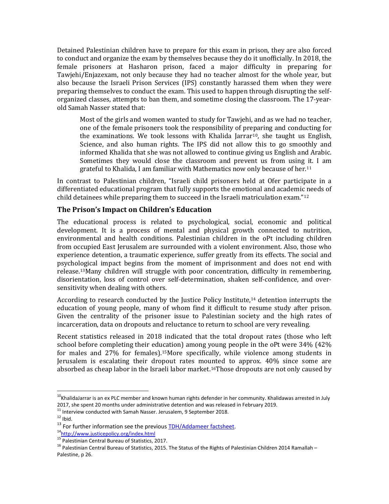Detained Palestinian children have to prepare for this exam in prison, they are also forced to conduct and organize the exam by themselves because they do it unofficially. In 2018, the female prisoners at Hasharon prison, faced a major difficulty in preparing for Tawjehi/Enjazexam, not only because they had no teacher almost for the whole year, but also because the Israeli Prison Services (IPS) constantly harassed them when they were preparing themselves to conduct the exam. This used to happen through disrupting the selforganized classes, attempts to ban them, and sometime closing the classroom. The 17-yearold Samah Nasser stated that:

Most of the girls and women wanted to study for Tawjehi, and as we had no teacher, one of the female prisoners took the responsibility of preparing and conducting for the examinations. We took lessons with Khalida Jarrar<sup>10</sup>, she taught us English, Science, and also human rights. The IPS did not allow this to go smoothly and informed Khalida that she was not allowed to continue giving us English and Arabic. Sometimes they would close the classroom and prevent us from using [it](#page-2-0). I am grateful to Khalida, I am familiar with Mathematics now only because of her.11

In contrast to Palestinian children, "Israeli child prisoners held at Ofer participate in a differentiated educational program that fully supports the emotional and academic needs of child detainees while preparing them to succeed in the Israeli matriculation exam."[12](#page-2-0)

# **The Prison's Impact on Children's Education**

The educational process is related to psychological, social, economic and political development. It is a process of mental and physical growth connected to nutrition, environmental and health conditions. Palestinian children in the oPt including children from occupied East Jerusalem are surrounded with a violent environment. Also, those who experience detention, a traumatic experience, suffer greatly from its effects. The social and psychological impact begins from the moment of imprisonment and does not end with release[.13](#page-2-0)Many children will struggle with poor concentration, difficulty in remembering, disorientation, loss of control over self-determination, shaken self-confidence, and oversensitivity when dealing with others.

According to research conducted by the Justice Policy Institute,[14](#page-2-0) detention interrupts the education of young people, many of whom find it difficult to resume study after prison. Given the centrality of the prisoner issue to Palestinian society and the high rates of incarceration, data on dropouts and reluctance to return to school are very revealing.

Recent statistics released in 2018 indicated that the total dropout rates (those who left school before completing their education) among young people in the oPt were 34% (42% for males and 27% for females).[15](#page-2-0)More specifically, while violence among students in Jerusalem is escalating their dropout rates mounted to approx. 40% since some are absorbed as cheap labor in the Israeli labor market.<sup>16</sup>Those dropouts are not only caused by

 $\overline{\phantom{a}}$ 

<span id="page-2-0"></span><sup>&</sup>lt;sup>10</sup>KhalidaJarrar is an ex PLC member and known human rights defender in her community. Khalidawas arrested in July 2017, she spent 20 months under administrative detention and was released in February 2019.<br>
<sup>11</sup> Interview conducted with Samah Nasser. Jerusalem, 9 September 2018.<br>
<sup>12</sup> Ibid.<br>
<sup>13</sup> For further information see the previo

 $16$  Palestinian Central Bureau of Statistics, 2015. The Status of the Rights of Palestinian Children 2014 Ramallah – Palestine, p 26.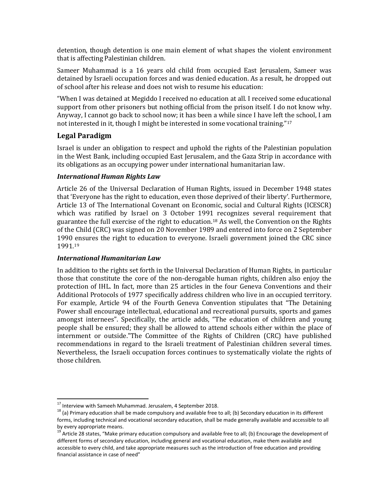detention, though detention is one main element of what shapes the violent environment that is affecting Palestinian children.

Sameer Muhammad is a 16 years old child from occupied East Jerusalem, Sameer was detained by Israeli occupation forces and was denied education. As a result, he dropped out of school after his release and does not wish to resume his education:

"When I was detained at Megiddo I received no education at all. I received some educational support from other prisoners but nothing official from the prison itself. I do not know why. Anyway, I cannot go back to school now; it has been a while since I have left the school, I am not interested in it, though I might be interested in some vocational training."<sup>[17](#page-3-0)</sup>

### **Legal Paradigm**

Israel is under an obligation to respect and uphold the rights of the Palestinian population in the West Bank, including occupied East Jerusalem, and the Gaza Strip in accordance with its obligations as an occupying power under international humanitarian law.

### *International Human Rights Law*

Article 26 of the Universal Declaration of Human Rights, issued in December 1948 states that 'Everyone has the right to education, even those deprived of their liberty'. Furthermore, Article 13 of The International Covenant on Economic, social and Cultural Rights (ICESCR) which was ratified by Israel on 3 October 199[1 r](#page-3-0)ecognizes several requirement that guarantee the full exercise of the right to education.18 As well, the Convention on the Rights of the Child (CRC) was signed on 20 November 1989 and entered into force on 2 September 1990 [en](#page-3-0)sures the right to education to everyone. Israeli government joined the CRC since 1991.19

#### *International Humanitarian Law*

In addition to the rights set forth in the Universal Declaration of Human Rights, in particular those that constitute the core of the non-derogable human rights, children also enjoy the protection of IHL. In fact, more than 25 articles in the four Geneva Conventions and their Additional Protocols of 1977 specifically address children who live in an occupied territory. For example, Article 94 of the Fourth Geneva Convention stipulates that "The Detaining Power shall encourage intellectual, educational and recreational pursuits, sports and games amongst internees". Specifically, the article adds, "The education of children and young people shall be ensured; they shall be allowed to attend schools either within the place of internment or outside."The Committee of the Rights of Children (CRC) have published recommendations in regard to the Israeli treatment of Palestinian children several times. Nevertheless, the Israeli occupation forces continues to systematically violate the rights of those children.

<sup>&</sup>lt;sup>17</sup> Interview with Sameeh Muhammad. Jerusalem, 4 September 2018.

<span id="page-3-0"></span> $18$  (a) Primary education shall be made compulsory and available free to all; (b) Secondary education in its different forms, including technical and vocational secondary education, shall be made generally available and accessible to all by every appropriate means.

<sup>&</sup>lt;sup>19</sup> Article 28 states, "Make primary education compulsory and available free to all; (b) Encourage the development of different forms of secondary education, including general and vocational education, make them available and accessible to every child, and take appropriate measures such as the introduction of free education and providing financial assistance in case of need"